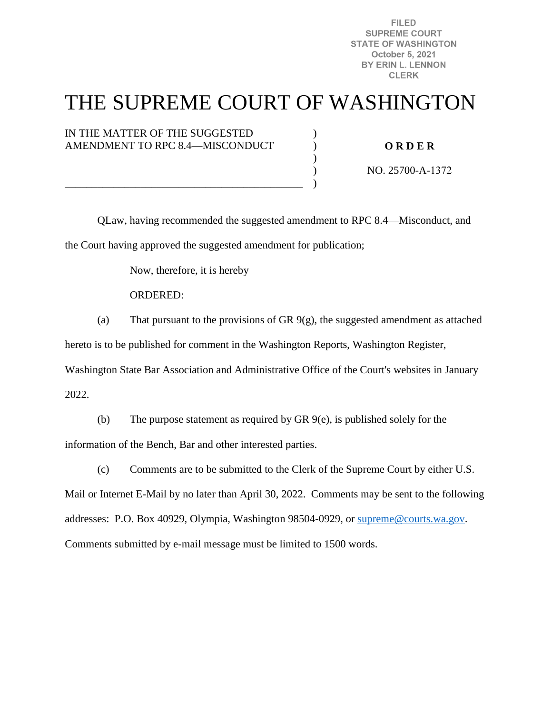**FILED SUPREME COURT STATE OF WASHINGTON** October 5, 2021 BY ERIN L. LENNON **CLERK** 

# THE SUPREME COURT OF WASHINGTON

) ) )  $\mathcal{L}$ )

#### IN THE MATTER OF THE SUGGESTED AMENDMENT TO RPC 8.4—MISCONDUCT

#### **O R D E R**

NO. 25700-A-1372

QLaw, having recommended the suggested amendment to RPC 8.4—Misconduct, and the Court having approved the suggested amendment for publication;

Now, therefore, it is hereby

\_\_\_\_\_\_\_\_\_\_\_\_\_\_\_\_\_\_\_\_\_\_\_\_\_\_\_\_\_\_\_\_\_\_\_\_\_\_\_\_\_\_\_\_

#### ORDERED:

(a) That pursuant to the provisions of GR  $9(g)$ , the suggested amendment as attached

hereto is to be published for comment in the Washington Reports, Washington Register,

Washington State Bar Association and Administrative Office of the Court's websites in January 2022.

(b) The purpose statement as required by GR 9(e), is published solely for the information of the Bench, Bar and other interested parties.

(c) Comments are to be submitted to the Clerk of the Supreme Court by either U.S. Mail or Internet E-Mail by no later than April 30, 2022. Comments may be sent to the following addresses: P.O. Box 40929, Olympia, Washington 98504-0929, or [supreme@courts.wa.gov.](mailto:supreme@courts.wa.gov) Comments submitted by e-mail message must be limited to 1500 words.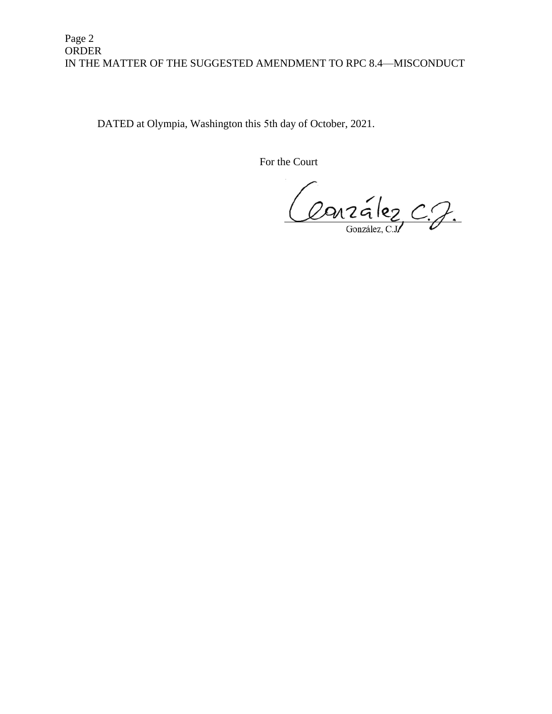### Page 2 ORDER IN THE MATTER OF THE SUGGESTED AMENDMENT TO RPC 8.4—MISCONDUCT

DATED at Olympia, Washington this 5th day of October, 2021.

For the Court

Conzélez C.J.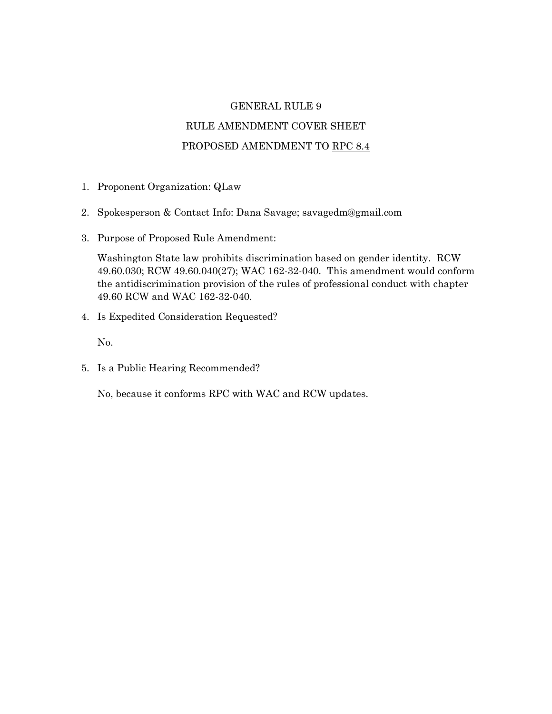#### GENERAL RULE 9

## RULE AMENDMENT COVER SHEET PROPOSED AMENDMENT TO RPC 8.4

- 1. Proponent Organization: QLaw
- 2. Spokesperson & Contact Info: Dana Savage; savagedm@gmail.com
- 3. Purpose of Proposed Rule Amendment:

Washington State law prohibits discrimination based on gender identity. RCW 49.60.030; RCW 49.60.040(27); WAC 162-32-040. This amendment would conform the antidiscrimination provision of the rules of professional conduct with chapter 49.60 RCW and WAC 162-32-040.

4. Is Expedited Consideration Requested?

No.

5. Is a Public Hearing Recommended?

No, because it conforms RPC with WAC and RCW updates.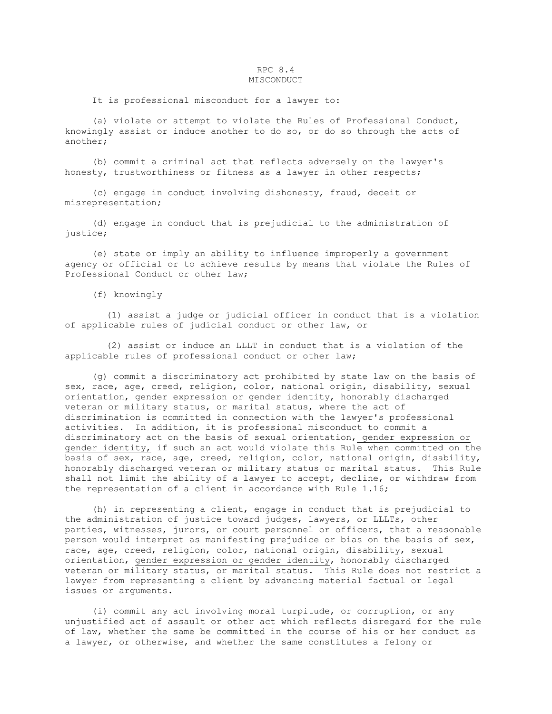#### RPC 8.4 MISCONDUCT

It is professional misconduct for a lawyer to:

 (a) violate or attempt to violate the Rules of Professional Conduct, knowingly assist or induce another to do so, or do so through the acts of another;

 (b) commit a criminal act that reflects adversely on the lawyer's honesty, trustworthiness or fitness as a lawyer in other respects;

 (c) engage in conduct involving dishonesty, fraud, deceit or misrepresentation;

 (d) engage in conduct that is prejudicial to the administration of justice;

 (e) state or imply an ability to influence improperly a government agency or official or to achieve results by means that violate the Rules of Professional Conduct or other law;

(f) knowingly

 (1) assist a judge or judicial officer in conduct that is a violation of applicable rules of judicial conduct or other law, or

 (2) assist or induce an LLLT in conduct that is a violation of the applicable rules of professional conduct or other law;

 (g) commit a discriminatory act prohibited by state law on the basis of sex, race, age, creed, religion, color, national origin, disability, sexual orientation, gender expression or gender identity, honorably discharged veteran or military status, or marital status, where the act of discrimination is committed in connection with the lawyer's professional activities. In addition, it is professional misconduct to commit a discriminatory act on the basis of sexual orientation, gender expression or gender identity, if such an act would violate this Rule when committed on the basis of sex, race, age, creed, religion, color, national origin, disability, honorably discharged veteran or military status or marital status. This Rule shall not limit the ability of a lawyer to accept, decline, or withdraw from the representation of a client in accordance with Rule 1.16;

 (h) in representing a client, engage in conduct that is prejudicial to the administration of justice toward judges, lawyers, or LLLTs, other parties, witnesses, jurors, or court personnel or officers, that a reasonable person would interpret as manifesting prejudice or bias on the basis of sex, race, age, creed, religion, color, national origin, disability, sexual orientation, gender expression or gender identity, honorably discharged veteran or military status, or marital status. This Rule does not restrict a lawyer from representing a client by advancing material factual or legal issues or arguments.

 (i) commit any act involving moral turpitude, or corruption, or any unjustified act of assault or other act which reflects disregard for the rule of law, whether the same be committed in the course of his or her conduct as a lawyer, or otherwise, and whether the same constitutes a felony or